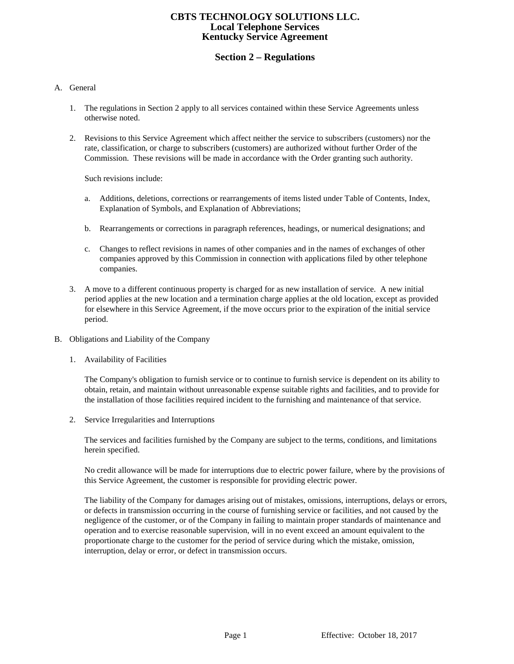# **Section 2 – Regulations**

#### A. General

- 1. The regulations in Section 2 apply to all services contained within these Service Agreements unless otherwise noted.
- 2. Revisions to this Service Agreement which affect neither the service to subscribers (customers) nor the rate, classification, or charge to subscribers (customers) are authorized without further Order of the Commission. These revisions will be made in accordance with the Order granting such authority.

Such revisions include:

- a. Additions, deletions, corrections or rearrangements of items listed under Table of Contents, Index, Explanation of Symbols, and Explanation of Abbreviations;
- b. Rearrangements or corrections in paragraph references, headings, or numerical designations; and
- c. Changes to reflect revisions in names of other companies and in the names of exchanges of other companies approved by this Commission in connection with applications filed by other telephone companies.
- 3. A move to a different continuous property is charged for as new installation of service. A new initial period applies at the new location and a termination charge applies at the old location, except as provided for elsewhere in this Service Agreement, if the move occurs prior to the expiration of the initial service period.
- B. Obligations and Liability of the Company
	- 1. Availability of Facilities

The Company's obligation to furnish service or to continue to furnish service is dependent on its ability to obtain, retain, and maintain without unreasonable expense suitable rights and facilities, and to provide for the installation of those facilities required incident to the furnishing and maintenance of that service.

2. Service Irregularities and Interruptions

The services and facilities furnished by the Company are subject to the terms, conditions, and limitations herein specified.

No credit allowance will be made for interruptions due to electric power failure, where by the provisions of this Service Agreement, the customer is responsible for providing electric power.

The liability of the Company for damages arising out of mistakes, omissions, interruptions, delays or errors, or defects in transmission occurring in the course of furnishing service or facilities, and not caused by the negligence of the customer, or of the Company in failing to maintain proper standards of maintenance and operation and to exercise reasonable supervision, will in no event exceed an amount equivalent to the proportionate charge to the customer for the period of service during which the mistake, omission, interruption, delay or error, or defect in transmission occurs.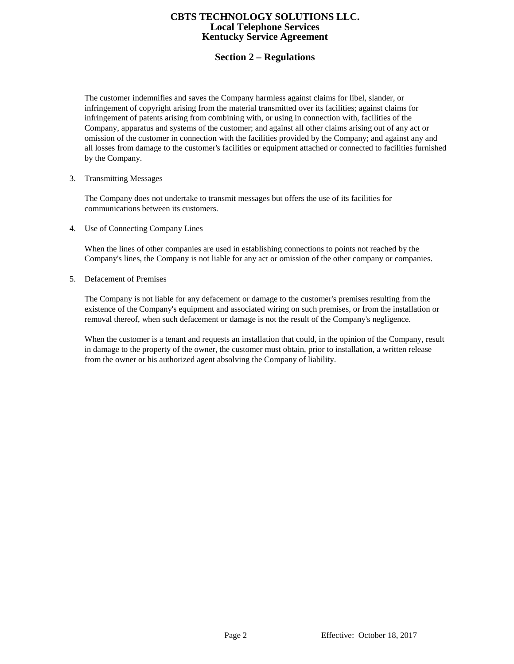# **Section 2 – Regulations**

The customer indemnifies and saves the Company harmless against claims for libel, slander, or infringement of copyright arising from the material transmitted over its facilities; against claims for infringement of patents arising from combining with, or using in connection with, facilities of the Company, apparatus and systems of the customer; and against all other claims arising out of any act or omission of the customer in connection with the facilities provided by the Company; and against any and all losses from damage to the customer's facilities or equipment attached or connected to facilities furnished by the Company.

3. Transmitting Messages

The Company does not undertake to transmit messages but offers the use of its facilities for communications between its customers.

4. Use of Connecting Company Lines

When the lines of other companies are used in establishing connections to points not reached by the Company's lines, the Company is not liable for any act or omission of the other company or companies.

5. Defacement of Premises

The Company is not liable for any defacement or damage to the customer's premises resulting from the existence of the Company's equipment and associated wiring on such premises, or from the installation or removal thereof, when such defacement or damage is not the result of the Company's negligence.

When the customer is a tenant and requests an installation that could, in the opinion of the Company, result in damage to the property of the owner, the customer must obtain, prior to installation, a written release from the owner or his authorized agent absolving the Company of liability.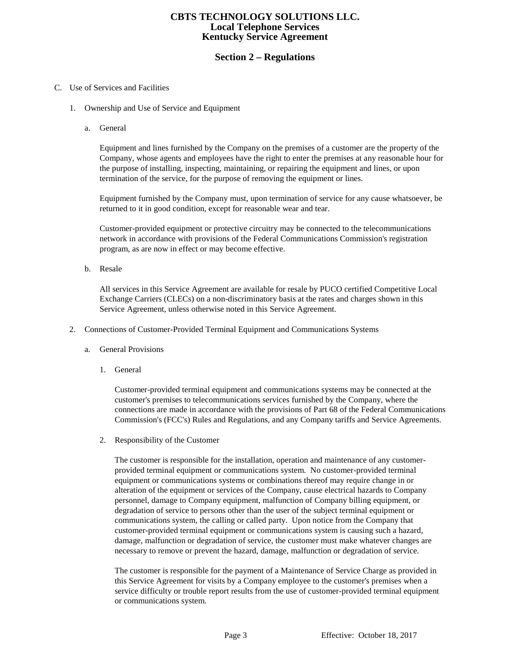# **Section 2 – Regulations**

#### C. Use of Services and Facilities

- 1. Ownership and Use of Service and Equipment
	- a. General

Equipment and lines furnished by the Company on the premises of a customer are the property of the Company, whose agents and employees have the right to enter the premises at any reasonable hour for the purpose of installing, inspecting, maintaining, or repairing the equipment and lines, or upon termination of the service, for the purpose of removing the equipment or lines.

Equipment furnished by the Company must, upon termination of service for any cause whatsoever, be returned to it in good condition, except for reasonable wear and tear.

Customer-provided equipment or protective circuitry may be connected to the telecommunications network in accordance with provisions of the Federal Communications Commission's registration program, as are now in effect or may become effective.

b. Resale

All services in this Service Agreement are available for resale by PUCO certified Competitive Local Exchange Carriers (CLECs) on a non-discriminatory basis at the rates and charges shown in this Service Agreement, unless otherwise noted in this Service Agreement.

- 2. Connections of Customer-Provided Terminal Equipment and Communications Systems
	- a. General Provisions
		- 1. General

Customer-provided terminal equipment and communications systems may be connected at the customer's premises to telecommunications services furnished by the Company, where the connections are made in accordance with the provisions of Part 68 of the Federal Communications Commission's (FCC's) Rules and Regulations, and any Company tariffs and Service Agreements.

2. Responsibility of the Customer

The customer is responsible for the installation, operation and maintenance of any customerprovided terminal equipment or communications system. No customer-provided terminal equipment or communications systems or combinations thereof may require change in or alteration of the equipment or services of the Company, cause electrical hazards to Company personnel, damage to Company equipment, malfunction of Company billing equipment, or degradation of service to persons other than the user of the subject terminal equipment or communications system, the calling or called party. Upon notice from the Company that customer-provided terminal equipment or communications system is causing such a hazard, damage, malfunction or degradation of service, the customer must make whatever changes are necessary to remove or prevent the hazard, damage, malfunction or degradation of service.

The customer is responsible for the payment of a Maintenance of Service Charge as provided in this Service Agreement for visits by a Company employee to the customer's premises when a service difficulty or trouble report results from the use of customer-provided terminal equipment or communications system.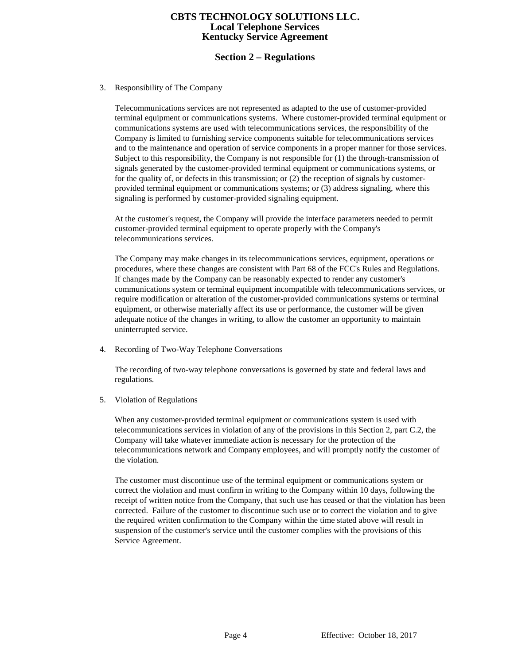## **Section 2 – Regulations**

3. Responsibility of The Company

Telecommunications services are not represented as adapted to the use of customer-provided terminal equipment or communications systems. Where customer-provided terminal equipment or communications systems are used with telecommunications services, the responsibility of the Company is limited to furnishing service components suitable for telecommunications services and to the maintenance and operation of service components in a proper manner for those services. Subject to this responsibility, the Company is not responsible for (1) the through-transmission of signals generated by the customer-provided terminal equipment or communications systems, or for the quality of, or defects in this transmission; or (2) the reception of signals by customerprovided terminal equipment or communications systems; or (3) address signaling, where this signaling is performed by customer-provided signaling equipment.

At the customer's request, the Company will provide the interface parameters needed to permit customer-provided terminal equipment to operate properly with the Company's telecommunications services.

The Company may make changes in its telecommunications services, equipment, operations or procedures, where these changes are consistent with Part 68 of the FCC's Rules and Regulations. If changes made by the Company can be reasonably expected to render any customer's communications system or terminal equipment incompatible with telecommunications services, or require modification or alteration of the customer-provided communications systems or terminal equipment, or otherwise materially affect its use or performance, the customer will be given adequate notice of the changes in writing, to allow the customer an opportunity to maintain uninterrupted service.

4. Recording of Two-Way Telephone Conversations

The recording of two-way telephone conversations is governed by state and federal laws and regulations.

5. Violation of Regulations

When any customer-provided terminal equipment or communications system is used with telecommunications services in violation of any of the provisions in this Section 2, part C.2, the Company will take whatever immediate action is necessary for the protection of the telecommunications network and Company employees, and will promptly notify the customer of the violation.

The customer must discontinue use of the terminal equipment or communications system or correct the violation and must confirm in writing to the Company within 10 days, following the receipt of written notice from the Company, that such use has ceased or that the violation has been corrected. Failure of the customer to discontinue such use or to correct the violation and to give the required written confirmation to the Company within the time stated above will result in suspension of the customer's service until the customer complies with the provisions of this Service Agreement.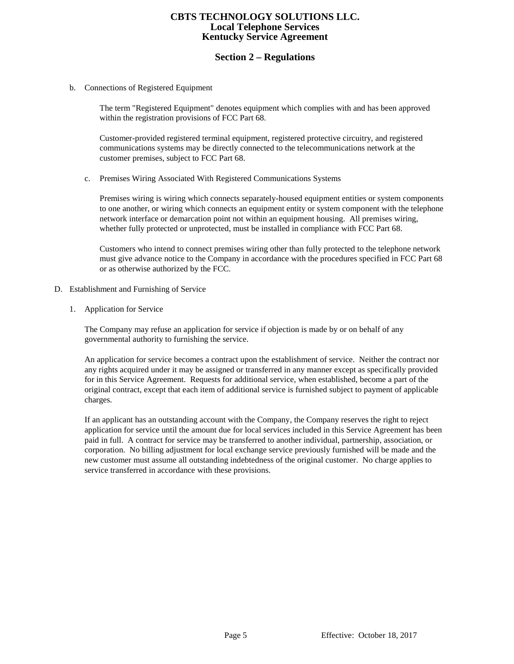# **Section 2 – Regulations**

b. Connections of Registered Equipment

The term "Registered Equipment" denotes equipment which complies with and has been approved within the registration provisions of FCC Part 68.

Customer-provided registered terminal equipment, registered protective circuitry, and registered communications systems may be directly connected to the telecommunications network at the customer premises, subject to FCC Part 68.

c. Premises Wiring Associated With Registered Communications Systems

Premises wiring is wiring which connects separately-housed equipment entities or system components to one another, or wiring which connects an equipment entity or system component with the telephone network interface or demarcation point not within an equipment housing. All premises wiring, whether fully protected or unprotected, must be installed in compliance with FCC Part 68.

Customers who intend to connect premises wiring other than fully protected to the telephone network must give advance notice to the Company in accordance with the procedures specified in FCC Part 68 or as otherwise authorized by the FCC.

- D. Establishment and Furnishing of Service
	- 1. Application for Service

The Company may refuse an application for service if objection is made by or on behalf of any governmental authority to furnishing the service.

An application for service becomes a contract upon the establishment of service. Neither the contract nor any rights acquired under it may be assigned or transferred in any manner except as specifically provided for in this Service Agreement. Requests for additional service, when established, become a part of the original contract, except that each item of additional service is furnished subject to payment of applicable charges.

If an applicant has an outstanding account with the Company, the Company reserves the right to reject application for service until the amount due for local services included in this Service Agreement has been paid in full. A contract for service may be transferred to another individual, partnership, association, or corporation. No billing adjustment for local exchange service previously furnished will be made and the new customer must assume all outstanding indebtedness of the original customer. No charge applies to service transferred in accordance with these provisions.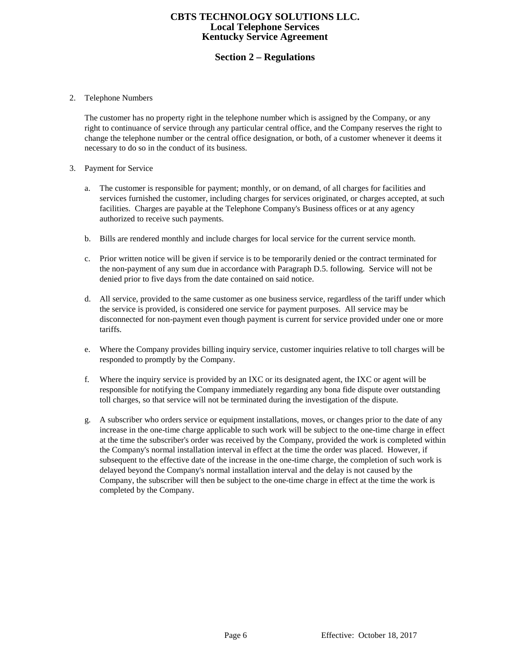#### **Section 2 – Regulations**

#### 2. Telephone Numbers

The customer has no property right in the telephone number which is assigned by the Company, or any right to continuance of service through any particular central office, and the Company reserves the right to change the telephone number or the central office designation, or both, of a customer whenever it deems it necessary to do so in the conduct of its business.

- 3. Payment for Service
	- a. The customer is responsible for payment; monthly, or on demand, of all charges for facilities and services furnished the customer, including charges for services originated, or charges accepted, at such facilities. Charges are payable at the Telephone Company's Business offices or at any agency authorized to receive such payments.
	- b. Bills are rendered monthly and include charges for local service for the current service month.
	- c. Prior written notice will be given if service is to be temporarily denied or the contract terminated for the non-payment of any sum due in accordance with Paragraph D.5. following. Service will not be denied prior to five days from the date contained on said notice.
	- d. All service, provided to the same customer as one business service, regardless of the tariff under which the service is provided, is considered one service for payment purposes. All service may be disconnected for non-payment even though payment is current for service provided under one or more tariffs.
	- e. Where the Company provides billing inquiry service, customer inquiries relative to toll charges will be responded to promptly by the Company.
	- f. Where the inquiry service is provided by an IXC or its designated agent, the IXC or agent will be responsible for notifying the Company immediately regarding any bona fide dispute over outstanding toll charges, so that service will not be terminated during the investigation of the dispute.
	- g. A subscriber who orders service or equipment installations, moves, or changes prior to the date of any increase in the one-time charge applicable to such work will be subject to the one-time charge in effect at the time the subscriber's order was received by the Company, provided the work is completed within the Company's normal installation interval in effect at the time the order was placed. However, if subsequent to the effective date of the increase in the one-time charge, the completion of such work is delayed beyond the Company's normal installation interval and the delay is not caused by the Company, the subscriber will then be subject to the one-time charge in effect at the time the work is completed by the Company.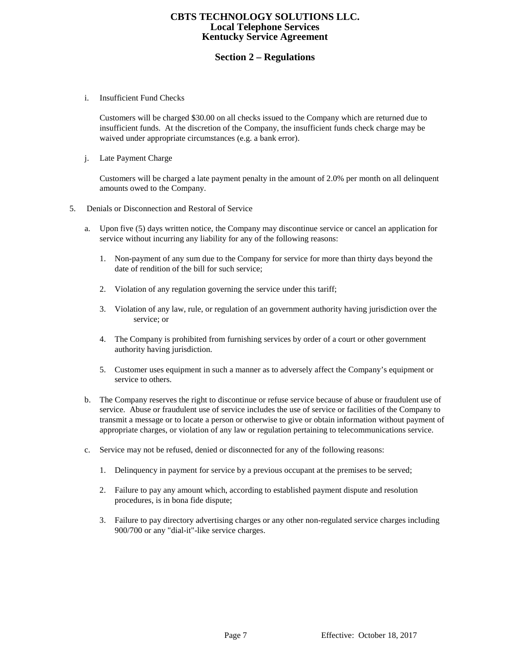#### **Section 2 – Regulations**

i. Insufficient Fund Checks

Customers will be charged \$30.00 on all checks issued to the Company which are returned due to insufficient funds. At the discretion of the Company, the insufficient funds check charge may be waived under appropriate circumstances (e.g. a bank error).

j. Late Payment Charge

Customers will be charged a late payment penalty in the amount of 2.0% per month on all delinquent amounts owed to the Company.

- 5. Denials or Disconnection and Restoral of Service
	- a. Upon five (5) days written notice, the Company may discontinue service or cancel an application for service without incurring any liability for any of the following reasons:
		- 1. Non-payment of any sum due to the Company for service for more than thirty days beyond the date of rendition of the bill for such service;
		- 2. Violation of any regulation governing the service under this tariff;
		- 3. Violation of any law, rule, or regulation of an government authority having jurisdiction over the service; or
		- 4. The Company is prohibited from furnishing services by order of a court or other government authority having jurisdiction.
		- 5. Customer uses equipment in such a manner as to adversely affect the Company's equipment or service to others.
	- b. The Company reserves the right to discontinue or refuse service because of abuse or fraudulent use of service. Abuse or fraudulent use of service includes the use of service or facilities of the Company to transmit a message or to locate a person or otherwise to give or obtain information without payment of appropriate charges, or violation of any law or regulation pertaining to telecommunications service.
	- c. Service may not be refused, denied or disconnected for any of the following reasons:
		- 1. Delinquency in payment for service by a previous occupant at the premises to be served;
		- 2. Failure to pay any amount which, according to established payment dispute and resolution procedures, is in bona fide dispute;
		- 3. Failure to pay directory advertising charges or any other non-regulated service charges including 900/700 or any "dial-it"-like service charges.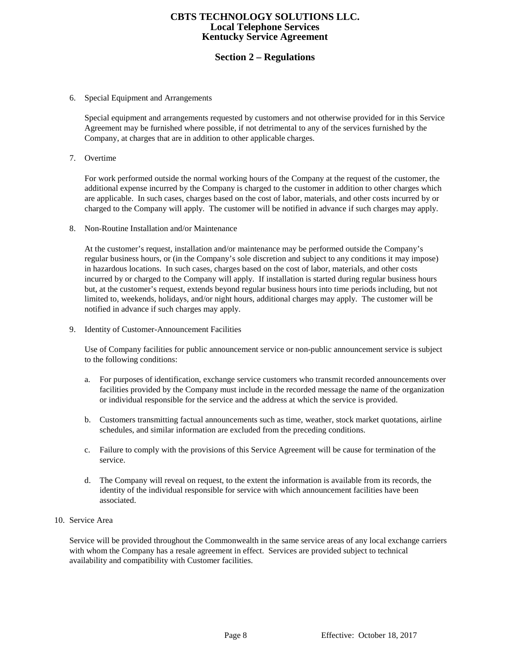# **Section 2 – Regulations**

6. Special Equipment and Arrangements

Special equipment and arrangements requested by customers and not otherwise provided for in this Service Agreement may be furnished where possible, if not detrimental to any of the services furnished by the Company, at charges that are in addition to other applicable charges.

7. Overtime

For work performed outside the normal working hours of the Company at the request of the customer, the additional expense incurred by the Company is charged to the customer in addition to other charges which are applicable. In such cases, charges based on the cost of labor, materials, and other costs incurred by or charged to the Company will apply. The customer will be notified in advance if such charges may apply.

8. Non-Routine Installation and/or Maintenance

At the customer's request, installation and/or maintenance may be performed outside the Company's regular business hours, or (in the Company's sole discretion and subject to any conditions it may impose) in hazardous locations. In such cases, charges based on the cost of labor, materials, and other costs incurred by or charged to the Company will apply. If installation is started during regular business hours but, at the customer's request, extends beyond regular business hours into time periods including, but not limited to, weekends, holidays, and/or night hours, additional charges may apply. The customer will be notified in advance if such charges may apply.

9. Identity of Customer-Announcement Facilities

Use of Company facilities for public announcement service or non-public announcement service is subject to the following conditions:

- a. For purposes of identification, exchange service customers who transmit recorded announcements over facilities provided by the Company must include in the recorded message the name of the organization or individual responsible for the service and the address at which the service is provided.
- b. Customers transmitting factual announcements such as time, weather, stock market quotations, airline schedules, and similar information are excluded from the preceding conditions.
- c. Failure to comply with the provisions of this Service Agreement will be cause for termination of the service.
- d. The Company will reveal on request, to the extent the information is available from its records, the identity of the individual responsible for service with which announcement facilities have been associated.
- 10. Service Area

Service will be provided throughout the Commonwealth in the same service areas of any local exchange carriers with whom the Company has a resale agreement in effect. Services are provided subject to technical availability and compatibility with Customer facilities.